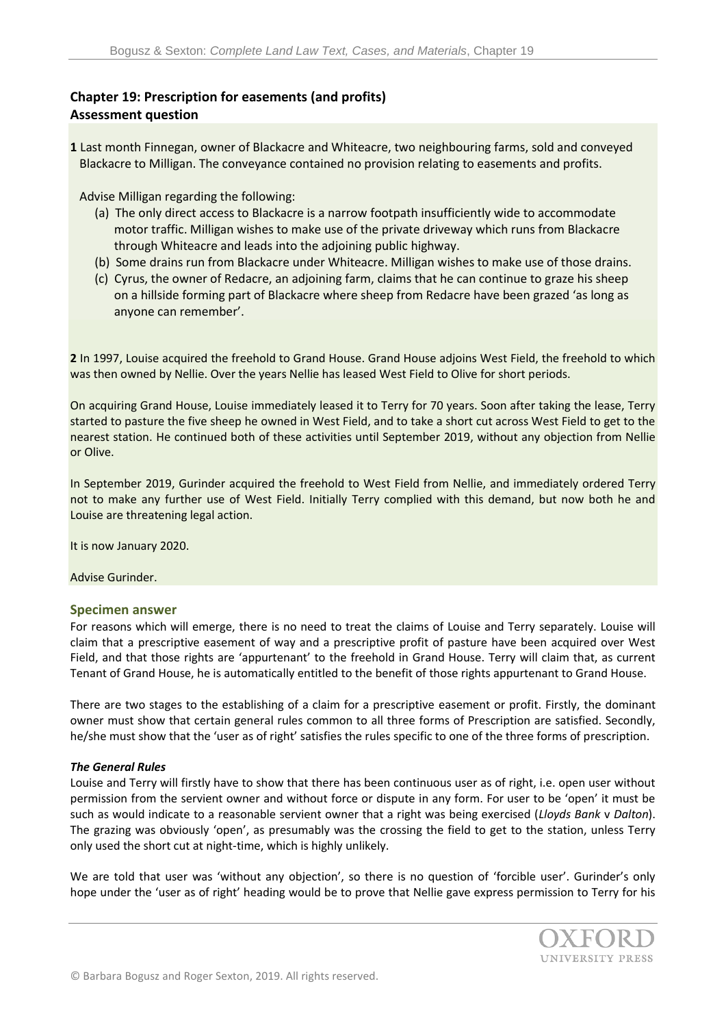## **Chapter 19: Prescription for easements (and profits) Assessment question**

**1** Last month Finnegan, owner of Blackacre and Whiteacre, two neighbouring farms, sold and conveyed Blackacre to Milligan. The conveyance contained no provision relating to easements and profits.

Advise Milligan regarding the following:

- (a) The only direct access to Blackacre is a narrow footpath insufficiently wide to accommodate motor traffic. Milligan wishes to make use of the private driveway which runs from Blackacre through Whiteacre and leads into the adjoining public highway.
- (b) Some drains run from Blackacre under Whiteacre. Milligan wishes to make use of those drains.
- (c) Cyrus, the owner of Redacre, an adjoining farm, claims that he can continue to graze his sheep on a hillside forming part of Blackacre where sheep from Redacre have been grazed 'as long as anyone can remember'.

**2** In 1997, Louise acquired the freehold to Grand House. Grand House adjoins West Field, the freehold to which was then owned by Nellie. Over the years Nellie has leased West Field to Olive for short periods.

On acquiring Grand House, Louise immediately leased it to Terry for 70 years. Soon after taking the lease, Terry started to pasture the five sheep he owned in West Field, and to take a short cut across West Field to get to the nearest station. He continued both of these activities until September 2019, without any objection from Nellie or Olive.

In September 2019, Gurinder acquired the freehold to West Field from Nellie, and immediately ordered Terry not to make any further use of West Field. Initially Terry complied with this demand, but now both he and Louise are threatening legal action.

It is now January 2020.

Advise Gurinder.

## **Specimen answer**

For reasons which will emerge, there is no need to treat the claims of Louise and Terry separately. Louise will claim that a prescriptive easement of way and a prescriptive profit of pasture have been acquired over West Field, and that those rights are 'appurtenant' to the freehold in Grand House. Terry will claim that, as current Tenant of Grand House, he is automatically entitled to the benefit of those rights appurtenant to Grand House.

There are two stages to the establishing of a claim for a prescriptive easement or profit. Firstly, the dominant owner must show that certain general rules common to all three forms of Prescription are satisfied. Secondly, he/she must show that the 'user as of right' satisfies the rules specific to one of the three forms of prescription.

## *The General Rules*

Louise and Terry will firstly have to show that there has been continuous user as of right, i.e. open user without permission from the servient owner and without force or dispute in any form. For user to be 'open' it must be such as would indicate to a reasonable servient owner that a right was being exercised (*Lloyds Bank* v *Dalton*). The grazing was obviously 'open', as presumably was the crossing the field to get to the station, unless Terry only used the short cut at night-time, which is highly unlikely.

We are told that user was 'without any objection', so there is no question of 'forcible user'. Gurinder's only hope under the 'user as of right' heading would be to prove that Nellie gave express permission to Terry for his